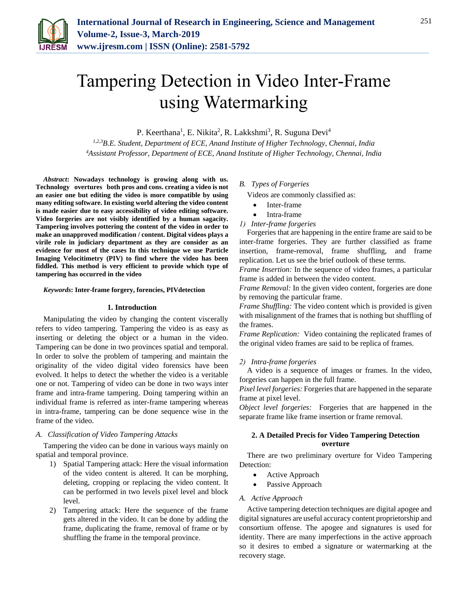

# Tampering Detection in Video Inter-Frame using Watermarking

P. Keerthana<sup>1</sup>, E. Nikita<sup>2</sup>, R. Lakkshmi<sup>3</sup>, R. Suguna Devi<sup>4</sup>

*1,2,3B.E. Student, Department of ECE, Anand Institute of Higher Technology, Chennai, India 4Assistant Professor, Department of ECE, Anand Institute of Higher Technology, Chennai, India*

*Abstract***: Nowadays technology is growing along with us. Technology overtures both pros and cons. creating a video is not an easier one but editing the video is more compatible by using many editing software. In existing world altering the video content is made easier due to easy accessibility of video editing software. Video forgeries are not visibly identified by a human sagacity. Tampering involves pottering the content of the video in order to make an unapproved modification / content. Digital videos plays a virile role in judiciary department as they are consider as an evidence for most of the cases In this technique we use Particle Imaging Velocitimetry (PIV) to find where the video has been fiddled. This method is very efficient to provide which type of tampering has occurred in the video**

*Keywords***: Inter-frame forgery, forencies, PIVdetection**

#### **1. Introduction**

Manipulating the video by changing the content viscerally refers to video tampering. Tampering the video is as easy as inserting or deleting the object or a human in the video. Tampering can be done in two provinces spatial and temporal. In order to solve the problem of tampering and maintain the originality of the video digital video forensics have been evolved. It helps to detect the whether the video is a veritable one or not. Tampering of video can be done in two ways inter frame and intra-frame tampering. Doing tampering within an individual frame is referred as inter-frame tampering whereas in intra-frame, tampering can be done sequence wise in the frame of the video.

#### *A. Classification of Video Tampering Attacks*

Tampering the video can be done in various ways mainly on spatial and temporal province.

- 1) Spatial Tampering attack: Here the visual information of the video content is altered. It can be morphing, deleting, cropping or replacing the video content. It can be performed in two levels pixel level and block level.
- 2) Tampering attack: Here the sequence of the frame gets altered in the video. It can be done by adding the frame, duplicating the frame, removal of frame or by shuffling the frame in the temporal province.

#### *B. Types of Forgeries*

Videos are commonly classified as:

- Inter-frame
- Intra-frame
- *1) Inter-frame forgeries*

Forgeries that are happening in the entire frame are said to be inter-frame forgeries. They are further classified as frame insertion, frame-removal, frame shuffling, and frame replication. Let us see the brief outlook of these terms.

*Frame Insertion:* In the sequence of video frames, a particular frame is added in between the video content.

*Frame Removal:* In the given video content, forgeries are done by removing the particular frame.

*Frame Shuffling:* The video content which is provided is given with misalignment of the frames that is nothing but shuffling of the frames.

*Frame Replication:* Video containing the replicated frames of the original video frames are said to be replica of frames.

#### *2) Intra-frame forgeries*

A video is a sequence of images or frames. In the video, forgeries can happen in the full frame.

*Pixel level forgeries:* Forgeries that are happened in the separate frame at pixel level.

*Object level forgeries:* Forgeries that are happened in the separate frame like frame insertion or frame removal.

## **2. A Detailed Precis for Video Tampering Detection overture**

There are two preliminary overture for Video Tampering Detection:

- Active Approach
- Passive Approach

#### *A. Active Approach*

Active tampering detection techniques are digital apogee and digital signatures are useful accuracy content proprietorship and consortium offense. The apogee and signatures is used for identity. There are many imperfections in the active approach so it desires to embed a signature or watermarking at the recovery stage.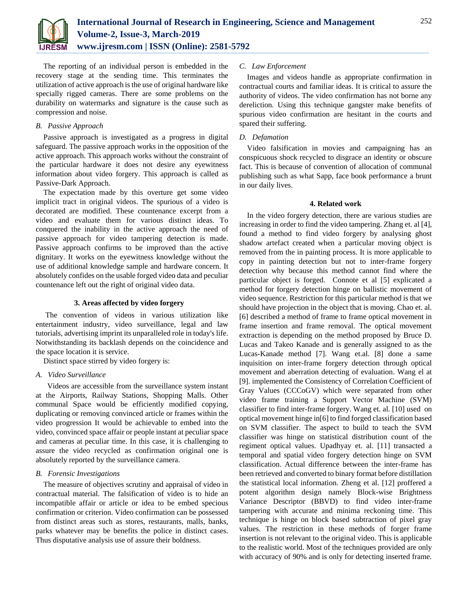

The reporting of an individual person is embedded in the recovery stage at the sending time. This terminates the utilization of active approach is the use of original hardware like specially rigged cameras. There are some problems on the durability on watermarks and signature is the cause such as compression and noise.

## *B. Passive Approach*

Passive approach is investigated as a progress in digital safeguard. The passive approach works in the opposition of the active approach. This approach works without the constraint of the particular hardware it does not desire any eyewitness information about video forgery. This approach is called as Passive-Dark Approach.

The expectation made by this overture get some video implicit tract in original videos. The spurious of a video is decorated are modified. These countenance excerpt from a video and evaluate them for various distinct ideas. To conquered the inability in the active approach the need of passive approach for video tampering detection is made. Passive approach confirms to be improved than the active dignitary. It works on the eyewitness knowledge without the use of additional knowledge sample and hardware concern. It absolutely confides on the usable forged video data and peculiar countenance left out the right of original video data.

## **3. Areas affected by video forgery**

The convention of videos in various utilization like entertainment industry, video surveillance, legal and law tutorials, advertising imprint its unparalleled role in today's life. Notwithstanding its backlash depends on the coincidence and the space location it is service.

Distinct space stirred by video forgery is:

## *A. Video Surveillance*

 Videos are accessible from the surveillance system instant at the Airports, Railway Stations, Shopping Malls. Other communal Space would be efficiently modified copying, duplicating or removing convinced article or frames within the video progression It would be achievable to embed into the video, convinced space affair or people instant at peculiar space and cameras at peculiar time. In this case, it is challenging to assure the video recycled as confirmation original one is absolutely reported by the surveillance camera.

## *B. Forensic Investigations*

The measure of objectives scrutiny and appraisal of video in contractual material. The falsification of video is to hide an incompatible affair or article or idea to be embed specious confirmation or criterion. Video confirmation can be possessed from distinct areas such as stores, restaurants, malls, banks, parks whatever may be benefits the police in distinct cases. Thus disputative analysis use of assure their boldness.

# *C. Law Enforcement*

Images and videos handle as appropriate confirmation in contractual courts and familiar ideas. It is critical to assure the authority of videos. The video confirmation has not borne any dereliction. Using this technique gangster make benefits of spurious video confirmation are hesitant in the courts and spared their suffering.

# *D. Defamation*

Video falsification in movies and campaigning has an conspicuous shock recycled to disgrace an identity or obscure fact. This is because of convention of allocation of communal publishing such as what Sapp, face book performance a brunt in our daily lives.

#### **4. Related work**

In the video forgery detection, there are various studies are increasing in order to find the video tampering. Zhang et. al [4], found a method to find video forgery by analysing ghost shadow artefact created when a particular moving object is removed from the in painting process. It is more applicable to copy in painting detection but not to inter-frame forgery detection why because this method cannot find where the particular object is forged. Connote et al [5] explicated a method for forgery detection hinge on ballistic movement of video sequence. Restriction for this particular method is that we should have projection in the object that is moving. Chao et. al. [6] described a method of frame to frame optical movement in frame insertion and frame removal. The optical movement extraction is depending on the method proposed by Bruce D. Lucas and Takeo Kanade and is generally assigned to as the Lucas-Kanade method [7]. Wang et.al. [8] done a same inquisition on inter-frame forgery detection through optical movement and aberration detecting of evaluation. Wang el at [9]. implemented the Consistency of Correlation Coefficient of Gray Values (CCCoGV) which were separated from other video frame training a Support Vector Machine (SVM) classifier to find inter-frame forgery. Wang et. al. [10] used on optical movement hinge in[6] to find forged classification based on SVM classifier. The aspect to build to teach the SVM classifier was hinge on statistical distribution count of the regiment optical values. Upadhyay et. al. [11] transacted a temporal and spatial video forgery detection hinge on SVM classification. Actual difference between the inter-frame has been retrieved and converted to binary format before distillation the statistical local information. Zheng et al. [12] proffered a potent algorithm design namely Block-wise Brightness Variance Descriptor (BBVD) to find video inter-frame tampering with accurate and minima reckoning time. This technique is hinge on block based subtraction of pixel gray values. The restriction in these methods of forger frame insertion is not relevant to the original video. This is applicable to the realistic world. Most of the techniques provided are only with accuracy of 90% and is only for detecting inserted frame.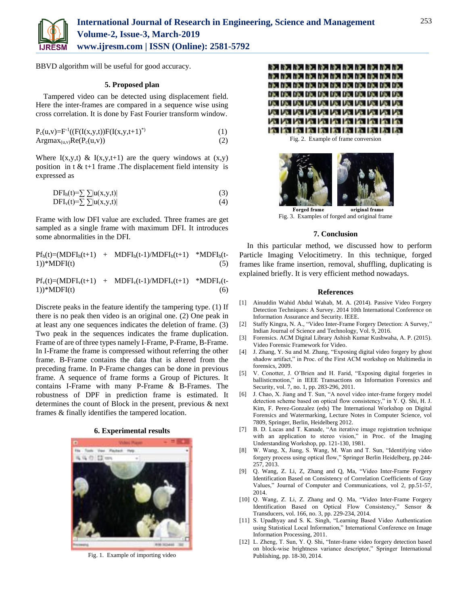

BBVD algorithm will be useful for good accuracy.

## **5. Proposed plan**

Tampered video can be detected using displacement field. Here the inter-frames are compared in a sequence wise using cross correlation. It is done by Fast Fourier transform window.

| $P_c(u,v)=F^{-1}((F(I(x,y,t))F(I(x,y,t+1)^*))$ |     |
|------------------------------------------------|-----|
| $Argmax_{(u,v)}Re(P_c(u,v))$                   | (2) |

Where  $I(x,y,t) \& I(x,y,t+1)$  are the query windows at  $(x,y)$ position in t  $< t+1$  frame. The displacement field intensity is expressed as

$$
DFIh(t)=\sum \sum |u(x,y,t)|
$$
 (3)

$$
DFI_{v}(t)=\sum \sum |u(x,y,t)| \qquad (4)
$$

Frame with low DFI value are excluded. Three frames are get sampled as a single frame with maximum DFI. It introduces some abnormalities in the DFI.

 $Pf_h(t)=(MDFI_h(t+1)$  +  $MDFI_h(t-1)/MDFI_h(t+1)$  \*MDFI<sub>h</sub>(t- $1)$ <sup>\*</sup>MDFI(t) (5)

 $Pf_v(t)=(MDFI_v(t+1)$  +  $MDFI_v(t-1)/MDFI_v(t+1)$  \*MDFI<sub>v</sub>(t- $1)$ <sup>\*</sup>MDFI(t) (6)

Discrete peaks in the feature identify the tampering type. (1) If there is no peak then video is an original one. (2) One peak in at least any one sequences indicates the deletion of frame. (3) Two peak in the sequences indicates the frame duplication. Frame of are of three types namely I-Frame, P-Frame, B-Frame. In I-Frame the frame is compressed without referring the other frame. B-Frame contains the data that is altered from the preceding frame. In P-Frame changes can be done in previous frame. A sequence of frame forms a Group of Pictures. It contains I-Frame with many P-Frame & B-Frames. The robustness of DPF in prediction frame is estimated. It determines the count of Block in the present, previous & next frames & finally identifies the tampered location.





Fig. 1. Example of importing video



Fig. 2. Example of frame conversion



Fig. 3. Examples of forged and original frame

#### **7. Conclusion**

In this particular method, we discussed how to perform Particle Imaging Velocitimetry. In this technique, forged frames like frame insertion, removal, shuffling, duplicating is explained briefly. It is very efficient method nowadays.

#### **References**

- [1] Ainuddin Wahid Abdul Wahab, M. A. (2014). Passive Video Forgery Detection Techniques: A Survey. 2014 10th International Conference on Information Assurance and Security. IEEE.
- [2] Staffy Kingra, N. A., "Video Inter-Frame Forgery Detection: A Survey," Indian Journal of Science and Technology, Vol. 9, 2016.
- [3] Forensics. ACM Digital Library Ashish Kumar Kushwaha, A. P. (2015). Video Forensic Framework for Video.
- [4] J. Zhang, Y. Su and M. Zhang, "Exposing digital video forgery by ghost shadow artifact," in Proc. of the First ACM workshop on Multimedia in forensics, 2009.
- [5] V. Conotter, J. O'Brien and H. Farid, "Exposing digital forgeries in ballisticmotion," in IEEE Transactions on Information Forensics and Security, vol. 7, no. 1, pp. 283-296, 2011.
- [6] J. Chao, X. Jiang and T. Sun, "A novel video inter-frame forgery model detection scheme based on optical flow consistency," in Y. Q. Shi, H. J. Kim, F. Perez-Gonzalez (eds) The International Workshop on Digital Forensics and Watermarking, Lecture Notes in Computer Science, vol 7809, Springer, Berlin, Heidelberg 2012.
- [7] B. D. Lucas and T. Kanade, "An iterative image registration technique with an application to stereo vision," in Proc. of the Imaging Understanding Workshop, pp. 121-130, 1981.
- [8] W. Wang, X, Jiang, S. Wang, M. Wan and T. Sun, "Identifying video forgery process using optical flow," Springer Berlin Heidelberg, pp.244- 257, 2013.
- [9] Q. Wang, Z. Li, Z, Zhang and Q, Ma, "Video Inter-Frame Forgery Identification Based on Consistency of Correlation Coefficients of Gray Values," Journal of Computer and Communications, vol 2, pp.51-57, 2014.
- [10] Q. Wang, Z. Li, Z. Zhang and Q. Ma, "Video Inter-Frame Forgery Identification Based on Optical Flow Consistency," Sensor & Transducers, vol. 166, no. 3, pp. 229-234, 2014.
- [11] S. Upadhyay and S. K. Singh, "Learning Based Video Authentication using Statistical Local Information," International Conference on Image Information Processing, 2011.
- [12] L. Zheng, T. Sun, Y. Q. Shi, "Inter-frame video forgery detection based on block-wise brightness variance descriptor," Springer International Publishing, pp. 18-30, 2014.